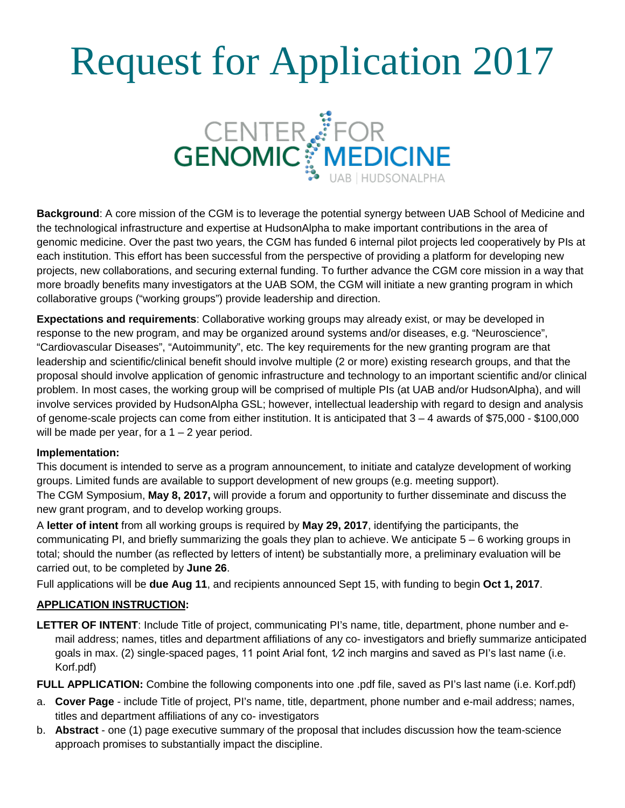# Request for Application 2017



**Background**: A core mission of the CGM is to leverage the potential synergy between UAB School of Medicine and the technological infrastructure and expertise at HudsonAlpha to make important contributions in the area of genomic medicine. Over the past two years, the CGM has funded 6 internal pilot projects led cooperatively by PIs at each institution. This effort has been successful from the perspective of providing a platform for developing new projects, new collaborations, and securing external funding. To further advance the CGM core mission in a way that more broadly benefits many investigators at the UAB SOM, the CGM will initiate a new granting program in which collaborative groups ("working groups") provide leadership and direction.

**Expectations and requirements**: Collaborative working groups may already exist, or may be developed in response to the new program, and may be organized around systems and/or diseases, e.g. "Neuroscience", "Cardiovascular Diseases", "Autoimmunity", etc. The key requirements for the new granting program are that leadership and scientific/clinical benefit should involve multiple (2 or more) existing research groups, and that the proposal should involve application of genomic infrastructure and technology to an important scientific and/or clinical problem. In most cases, the working group will be comprised of multiple PIs (at UAB and/or HudsonAlpha), and will involve services provided by HudsonAlpha GSL; however, intellectual leadership with regard to design and analysis of genome-scale projects can come from either institution. It is anticipated that 3 – 4 awards of \$75,000 - \$100,000 will be made per year, for a  $1 - 2$  year period.

## **Implementation:**

This document is intended to serve as a program announcement, to initiate and catalyze development of working groups. Limited funds are available to support development of new groups (e.g. meeting support). The CGM Symposium, **May 8, 2017,** will provide a forum and opportunity to further disseminate and discuss the new grant program, and to develop working groups.

A **letter of intent** from all working groups is required by **May 29, 2017**, identifying the participants, the communicating PI, and briefly summarizing the goals they plan to achieve. We anticipate 5 – 6 working groups in total; should the number (as reflected by letters of intent) be substantially more, a preliminary evaluation will be carried out, to be completed by **June 26**.

Full applications will be **due Aug 11**, and recipients announced Sept 15, with funding to begin **Oct 1, 2017**.

## **APPLICATION INSTRUCTION:**

**LETTER OF INTENT**: Include Title of project, communicating PI's name, title, department, phone number and email address; names, titles and department affiliations of any co- investigators and briefly summarize anticipated goals in max. (2) single-spaced pages, 11 point Arial font, 1⁄2 inch margins and saved as PI's last name (i.e. Korf.pdf)

**FULL APPLICATION:** Combine the following components into one .pdf file, saved as PI's last name (i.e. Korf.pdf)

- a. **Cover Page** include Title of project, PI's name, title, department, phone number and e-mail address; names, titles and department affiliations of any co- investigators
- b. **Abstract** one (1) page executive summary of the proposal that includes discussion how the team-science approach promises to substantially impact the discipline.